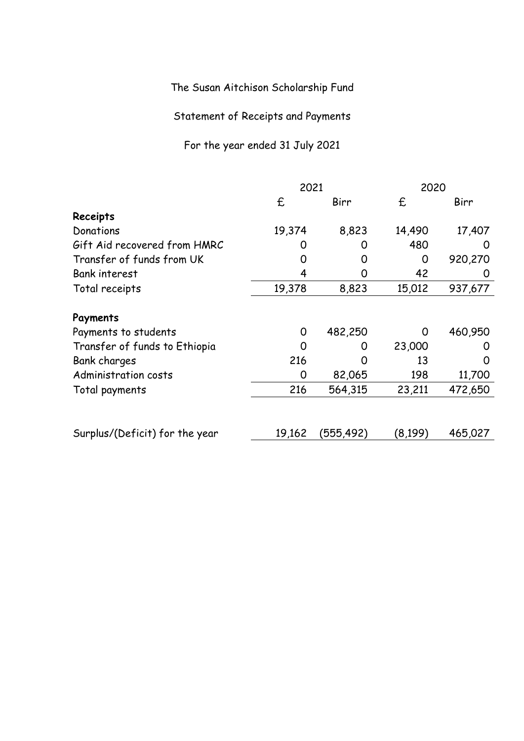The Susan Aitchison Scholarship Fund

Statement of Receipts and Payments

For the year ended 31 July 2021

|                                | 2021   |           | 2020    |         |
|--------------------------------|--------|-----------|---------|---------|
|                                | £      | Birr      | £       | Birr    |
| Receipts                       |        |           |         |         |
| Donations                      | 19,374 | 8,823     | 14,490  | 17,407  |
| Gift Aid recovered from HMRC   | 0      | O         | 480     |         |
| Transfer of funds from UK      | O      | 0         | 0       | 920,270 |
| <b>Bank interest</b>           | 4      | O         | 42      | 0       |
| Total receipts                 | 19,378 | 8,823     | 15,012  | 937,677 |
| Payments                       |        |           |         |         |
| Payments to students           | 0      | 482,250   | O       | 460,950 |
| Transfer of funds to Ethiopia  | ∩      | O)        | 23,000  |         |
| Bank charges                   | 216    |           | 13      |         |
| Administration costs           | 0      | 82,065    | 198     | 11,700  |
| Total payments                 | 216    | 564,315   | 23,211  | 472,650 |
|                                |        |           |         |         |
| Surplus/(Deficit) for the year | 19,162 | (555,492) | (8,199) | 465,027 |